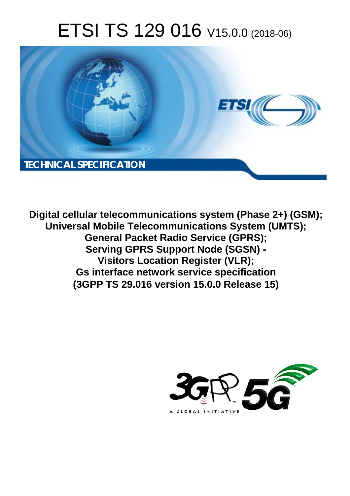# ETSI TS 129 016 V15.0.0 (2018-06)



**Digital cellular telecommunications system (Phase 2+) (GSM); Universal Mobile Telecommunications System (UMTS); General Packet Radio Service (GPRS); Serving GPRS Support Node (SGSN) - Visitors Location Register (VLR); Gs interface network service specification (3GPP TS 29.016 version 15.0.0 Release 15)** 

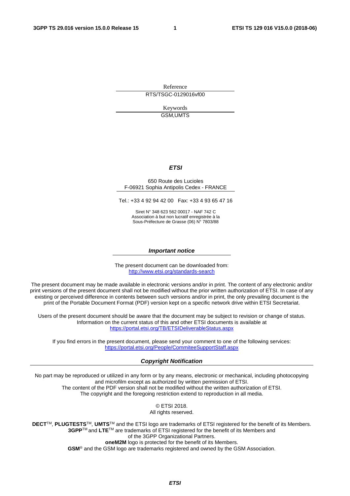Reference RTS/TSGC-0129016vf00

> Keywords GSM,UMTS

#### *ETSI*

#### 650 Route des Lucioles F-06921 Sophia Antipolis Cedex - FRANCE

Tel.: +33 4 92 94 42 00 Fax: +33 4 93 65 47 16

Siret N° 348 623 562 00017 - NAF 742 C Association à but non lucratif enregistrée à la Sous-Préfecture de Grasse (06) N° 7803/88

#### *Important notice*

The present document can be downloaded from: <http://www.etsi.org/standards-search>

The present document may be made available in electronic versions and/or in print. The content of any electronic and/or print versions of the present document shall not be modified without the prior written authorization of ETSI. In case of any existing or perceived difference in contents between such versions and/or in print, the only prevailing document is the print of the Portable Document Format (PDF) version kept on a specific network drive within ETSI Secretariat.

Users of the present document should be aware that the document may be subject to revision or change of status. Information on the current status of this and other ETSI documents is available at <https://portal.etsi.org/TB/ETSIDeliverableStatus.aspx>

If you find errors in the present document, please send your comment to one of the following services: <https://portal.etsi.org/People/CommiteeSupportStaff.aspx>

#### *Copyright Notification*

No part may be reproduced or utilized in any form or by any means, electronic or mechanical, including photocopying and microfilm except as authorized by written permission of ETSI. The content of the PDF version shall not be modified without the written authorization of ETSI. The copyright and the foregoing restriction extend to reproduction in all media.

> © ETSI 2018. All rights reserved.

**DECT**TM, **PLUGTESTS**TM, **UMTS**TM and the ETSI logo are trademarks of ETSI registered for the benefit of its Members. **3GPP**TM and **LTE**TM are trademarks of ETSI registered for the benefit of its Members and of the 3GPP Organizational Partners. **oneM2M** logo is protected for the benefit of its Members.

**GSM**® and the GSM logo are trademarks registered and owned by the GSM Association.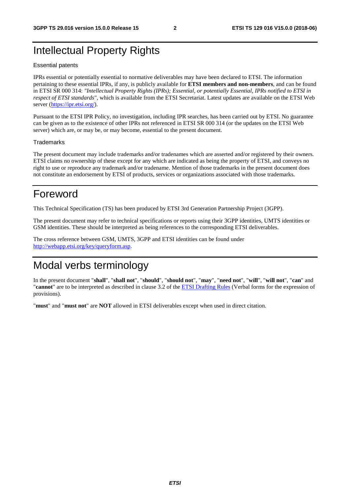# Intellectual Property Rights

#### Essential patents

IPRs essential or potentially essential to normative deliverables may have been declared to ETSI. The information pertaining to these essential IPRs, if any, is publicly available for **ETSI members and non-members**, and can be found in ETSI SR 000 314: *"Intellectual Property Rights (IPRs); Essential, or potentially Essential, IPRs notified to ETSI in respect of ETSI standards"*, which is available from the ETSI Secretariat. Latest updates are available on the ETSI Web server ([https://ipr.etsi.org/\)](https://ipr.etsi.org/).

Pursuant to the ETSI IPR Policy, no investigation, including IPR searches, has been carried out by ETSI. No guarantee can be given as to the existence of other IPRs not referenced in ETSI SR 000 314 (or the updates on the ETSI Web server) which are, or may be, or may become, essential to the present document.

#### **Trademarks**

The present document may include trademarks and/or tradenames which are asserted and/or registered by their owners. ETSI claims no ownership of these except for any which are indicated as being the property of ETSI, and conveys no right to use or reproduce any trademark and/or tradename. Mention of those trademarks in the present document does not constitute an endorsement by ETSI of products, services or organizations associated with those trademarks.

# Foreword

This Technical Specification (TS) has been produced by ETSI 3rd Generation Partnership Project (3GPP).

The present document may refer to technical specifications or reports using their 3GPP identities, UMTS identities or GSM identities. These should be interpreted as being references to the corresponding ETSI deliverables.

The cross reference between GSM, UMTS, 3GPP and ETSI identities can be found under [http://webapp.etsi.org/key/queryform.asp.](http://webapp.etsi.org/key/queryform.asp)

# Modal verbs terminology

In the present document "**shall**", "**shall not**", "**should**", "**should not**", "**may**", "**need not**", "**will**", "**will not**", "**can**" and "**cannot**" are to be interpreted as described in clause 3.2 of the [ETSI Drafting Rules](https://portal.etsi.org/Services/editHelp!/Howtostart/ETSIDraftingRules.aspx) (Verbal forms for the expression of provisions).

"**must**" and "**must not**" are **NOT** allowed in ETSI deliverables except when used in direct citation.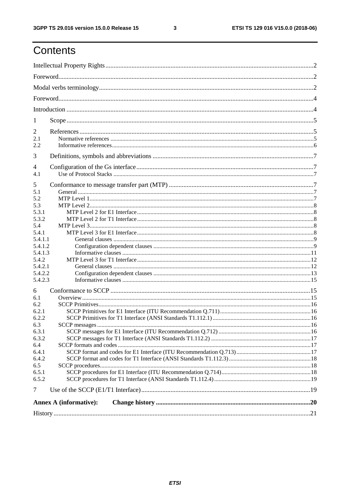# Contents

| 1              |                               |  |
|----------------|-------------------------------|--|
| $\overline{2}$ |                               |  |
| 2.1<br>2.2     |                               |  |
| 3              |                               |  |
| 4              |                               |  |
| 4.1            |                               |  |
| 5              |                               |  |
| 5.1<br>5.2     |                               |  |
| 5.3            |                               |  |
| 5.3.1          |                               |  |
| 5.3.2          |                               |  |
| 5.4            |                               |  |
| 5.4.1          |                               |  |
| 5.4.1.1        |                               |  |
| 5.4.1.2        |                               |  |
| 5.4.1.3        |                               |  |
| 5.4.2          |                               |  |
| 5.4.2.1        |                               |  |
| 5.4.2.2        |                               |  |
| 5.4.2.3        |                               |  |
| 6              |                               |  |
| 6.1            |                               |  |
| 6.2            |                               |  |
| 6.2.1          |                               |  |
| 6.2.2          |                               |  |
| 6.3            |                               |  |
| 6.3.1<br>6.3.2 |                               |  |
| 6.4            |                               |  |
| 6.4.1          |                               |  |
| 6.4.2          |                               |  |
| 6.5            |                               |  |
| 6.5.1          |                               |  |
| 6.5.2          |                               |  |
| $\overline{7}$ |                               |  |
|                | <b>Annex A (informative):</b> |  |
|                |                               |  |
|                |                               |  |

 $\mathbf{3}$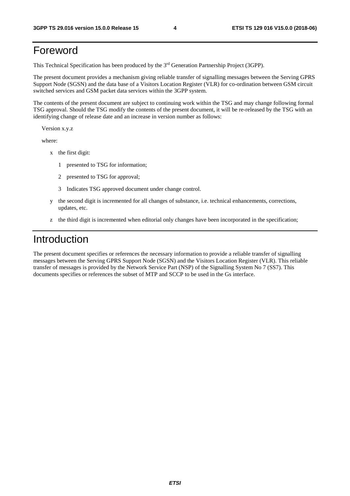# Foreword

This Technical Specification has been produced by the 3rd Generation Partnership Project (3GPP).

The present document provides a mechanism giving reliable transfer of signalling messages between the Serving GPRS Support Node (SGSN) and the data base of a Visitors Location Register (VLR) for co-ordination between GSM circuit switched services and GSM packet data services within the 3GPP system.

The contents of the present document are subject to continuing work within the TSG and may change following formal TSG approval. Should the TSG modify the contents of the present document, it will be re-released by the TSG with an identifying change of release date and an increase in version number as follows:

Version x.y.z

where:

- x the first digit:
	- 1 presented to TSG for information;
	- 2 presented to TSG for approval;
	- 3 Indicates TSG approved document under change control.
- y the second digit is incremented for all changes of substance, i.e. technical enhancements, corrections, updates, etc.
- z the third digit is incremented when editorial only changes have been incorporated in the specification;

# Introduction

The present document specifies or references the necessary information to provide a reliable transfer of signalling messages between the Serving GPRS Support Node (SGSN) and the Visitors Location Register (VLR). This reliable transfer of messages is provided by the Network Service Part (NSP) of the Signalling System No 7 (SS7). This documents specifies or references the subset of MTP and SCCP to be used in the Gs interface.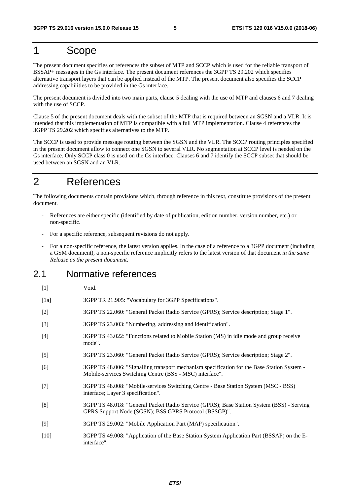# 1 Scope

The present document specifies or references the subset of MTP and SCCP which is used for the reliable transport of BSSAP+ messages in the Gs interface. The present document references the 3GPP TS 29.202 which specifies alternative transport layers that can be applied instead of the MTP. The present document also specifies the SCCP addressing capabilities to be provided in the Gs interface.

The present document is divided into two main parts, clause 5 dealing with the use of MTP and clauses 6 and 7 dealing with the use of SCCP.

Clause 5 of the present document deals with the subset of the MTP that is required between an SGSN and a VLR. It is intended that this implementation of MTP is compatible with a full MTP implementation. Clause 4 references the 3GPP TS 29.202 which specifies alternatives to the MTP.

The SCCP is used to provide message routing between the SGSN and the VLR. The SCCP routing principles specified in the present document allow to connect one SGSN to several VLR. No segmentation at SCCP level is needed on the Gs interface. Only SCCP class 0 is used on the Gs interface. Clauses 6 and 7 identify the SCCP subset that should be used between an SGSN and an VLR.

# 2 References

The following documents contain provisions which, through reference in this text, constitute provisions of the present document.

- References are either specific (identified by date of publication, edition number, version number, etc.) or non-specific.
- For a specific reference, subsequent revisions do not apply.
- For a non-specific reference, the latest version applies. In the case of a reference to a 3GPP document (including a GSM document), a non-specific reference implicitly refers to the latest version of that document *in the same Release as the present document*.

## 2.1 Normative references

- [1] Void.
- [1a] 3GPP TR 21.905: "Vocabulary for 3GPP Specifications".
- [2] 3GPP TS 22.060: "General Packet Radio Service (GPRS); Service description; Stage 1".
- [3] 3GPP TS 23.003: "Numbering, addressing and identification".
- [4] 3GPP TS 43.022: "Functions related to Mobile Station (MS) in idle mode and group receive mode".
- [5] 3GPP TS 23.060: "General Packet Radio Service (GPRS); Service description; Stage 2".
- [6] 3GPP TS 48.006: "Signalling transport mechanism specification for the Base Station System Mobile-services Switching Centre (BSS - MSC) interface".
- [7] 3GPP TS 48.008: "Mobile-services Switching Centre Base Station System (MSC BSS) interface; Layer 3 specification".
- [8] 3GPP TS 48.018: "General Packet Radio Service (GPRS); Base Station System (BSS) Serving GPRS Support Node (SGSN); BSS GPRS Protocol (BSSGP)".
- [9] 3GPP TS 29.002: "Mobile Application Part (MAP) specification".
- [10] 3GPP TS 49.008: "Application of the Base Station System Application Part (BSSAP) on the Einterface".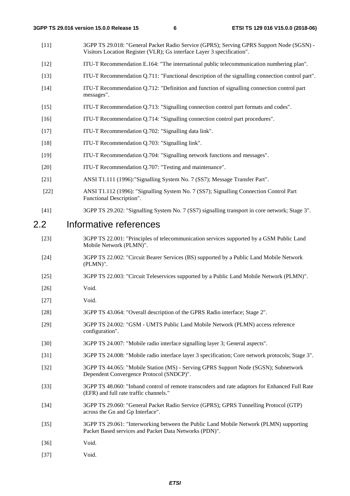- [11] 3GPP TS 29.018: "General Packet Radio Service (GPRS); Serving GPRS Support Node (SGSN) Visitors Location Register (VLR); Gs interface Layer 3 specification".
- [12] ITU-T Recommendation E.164: "The international public telecommunication numbering plan".
- [13] ITU-T Recommendation Q.711: "Functional description of the signalling connection control part".
- [14] ITU-T Recommendation Q.712: "Definition and function of signalling connection control part messages".
- [15] ITU-T Recommendation Q.713: "Signalling connection control part formats and codes".
- [16] ITU-T Recommendation Q.714: "Signalling connection control part procedures".
- [17] ITU-T Recommendation Q.702: "Signalling data link".
- [18] ITU-T Recommendation Q.703: "Signalling link".
- [19] ITU-T Recommendation Q.704: "Signalling network functions and messages".
- [20] ITU-T Recommendation Q.707: "Testing and maintenance".
- [21] ANSI T1.111 (1996):"Signalling System No. 7 (SS7); Message Transfer Part".
- [22] ANSI T1.112 (1996): "Signalling System No. 7 (SS7); Signalling Connection Control Part Functional Description".
- [41] 3GPP TS 29.202: "Signalling System No. 7 (SS7) signalling transport in core network; Stage 3".

### 2.2 Informative references

- [23] 3GPP TS 22.001: "Principles of telecommunication services supported by a GSM Public Land Mobile Network (PLMN)".
- [24] 3GPP TS 22.002: "Circuit Bearer Services (BS) supported by a Public Land Mobile Network (PLMN)".
- [25] 3GPP TS 22.003: "Circuit Teleservices supported by a Public Land Mobile Network (PLMN)".
- [26] **Void.**
- [27] Void.
- [28] 3GPP TS 43.064: "Overall description of the GPRS Radio interface; Stage 2".
- [29] 3GPP TS 24.002: "GSM UMTS Public Land Mobile Network (PLMN) access reference configuration".
- [30] 3GPP TS 24.007: "Mobile radio interface signalling layer 3; General aspects".
- [31] 3GPP TS 24.008: "Mobile radio interface layer 3 specification; Core network protocols; Stage 3".
- [32] 3GPP TS 44.065: "Mobile Station (MS) Serving GPRS Support Node (SGSN); Subnetwork Dependent Convergence Protocol (SNDCP)".
- [33] 3GPP TS 48.060: "Inband control of remote transcoders and rate adaptors for Enhanced Full Rate (EFR) and full rate traffic channels."
- [34] 3GPP TS 29.060: "General Packet Radio Service (GPRS); GPRS Tunnelling Protocol (GTP) across the Gn and Gp Interface".
- [35] 3GPP TS 29.061: "Interworking between the Public Land Mobile Network (PLMN) supporting Packet Based services and Packet Data Networks (PDN)".
- [36] Void.
- [37] Void.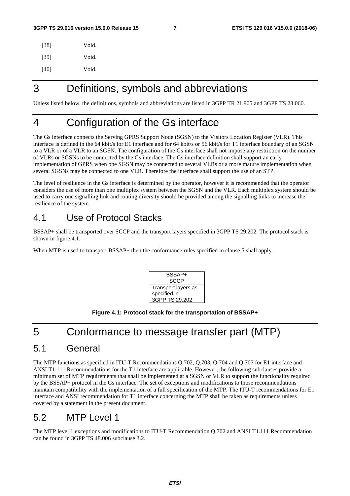| [38] | Void. |
|------|-------|
| [39] | Void. |
| [40] | Void. |

# 3 Definitions, symbols and abbreviations

Unless listed below, the definitions, symbols and abbreviations are listed in 3GPP TR 21.905 and 3GPP TS 23.060.

# 4 Configuration of the Gs interface

The Gs interface connects the Serving GPRS Support Node (SGSN) to the Visitors Location Register (VLR). This interface is defined in the 64 kbit/s for E1 interface and for 64 kbit/s or 56 kbit/s for T1 interface boundary of an SGSN to a VLR or of a VLR to an SGSN. The configuration of the Gs interface shall not impose any restriction on the number of VLRs or SGSNs to be connected by the Gs interface. The Gs interface definition shall support an early implementation of GPRS when one SGSN may be connected to several VLRs or a more mature implementation when several SGSNs may be connected to one VLR. Therefore the interface shall support the use of an STP.

The level of resilience in the Gs interface is determined by the operator, however it is recommended that the operator considers the use of more than one multiplex system between the SGSN and the VLR. Each multiplex system should be used to carry one signalling link and routing diversity should be provided among the signalling links to increase the resilience of the system.

# 4.1 Use of Protocol Stacks

BSSAP+ shall be transported over SCCP and the transport layers specified in 3GPP TS 29.202. The protocol stack is shown in figure 4.1.

When MTP is used to transport BSSAP+ then the conformance rules specified in clause 5 shall apply.



#### **Figure 4.1: Protocol stack for the transportation of BSSAP+**

# 5 Conformance to message transfer part (MTP)

### 5.1 General

The MTP functions as specified in ITU-T Recommendations Q.702, Q.703, Q.704 and Q.707 for E1 interface and ANSI T1.111 Recommendations for the T1 interface are applicable. However, the following subclauses provide a minimum set of MTP requirements that shall be implemented at a SGSN or VLR to support the functionality required by the BSSAP+ protocol in the Gs interface. The set of exceptions and modifications to those recommendations maintain compatibility with the implementation of a full specification of the MTP. The ITU-T recommendations for E1 interface and ANSI recommendation for T1 interface concerning the MTP shall be taken as requirements unless covered by a statement in the present document.

# 5.2 MTP Level 1

The MTP level 1 exceptions and modifications to ITU-T Recommendation Q.702 and ANSI T1.111 Recommendation can be found in 3GPP TS 48.006 subclause 3.2.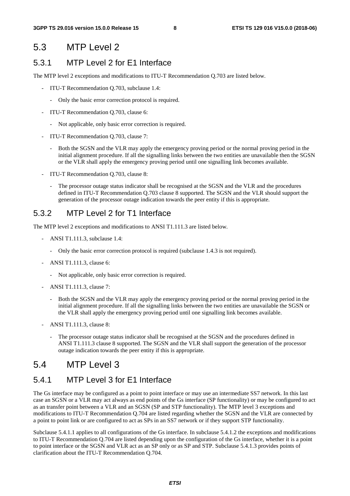### 5.3 MTP Level 2

### 5.3.1 MTP Level 2 for E1 Interface

The MTP level 2 exceptions and modifications to ITU-T Recommendation Q.703 are listed below.

- ITU-T Recommendation Q.703, subclause 1.4:
	- Only the basic error correction protocol is required.
- ITU-T Recommendation Q.703, clause 6:
	- Not applicable, only basic error correction is required.
- ITU-T Recommendation Q.703, clause 7:
	- Both the SGSN and the VLR may apply the emergency proving period or the normal proving period in the initial alignment procedure. If all the signalling links between the two entities are unavailable then the SGSN or the VLR shall apply the emergency proving period until one signalling link becomes available.
- ITU-T Recommendation Q.703, clause 8:
	- The processor outage status indicator shall be recognised at the SGSN and the VLR and the procedures defined in ITU-T Recommendation Q.703 clause 8 supported. The SGSN and the VLR should support the generation of the processor outage indication towards the peer entity if this is appropriate.

### 5.3.2 MTP Level 2 for T1 Interface

The MTP level 2 exceptions and modifications to ANSI T1.111.3 are listed below.

- ANSI T1.111.3, subclause 1.4:
	- Only the basic error correction protocol is required (subclause 1.4.3 is not required).
- ANSI T1.111.3, clause 6:
	- Not applicable, only basic error correction is required.
- ANSI T1.111.3, clause 7:
	- Both the SGSN and the VLR may apply the emergency proving period or the normal proving period in the initial alignment procedure. If all the signalling links between the two entities are unavailable the SGSN or the VLR shall apply the emergency proving period until one signalling link becomes available.
- ANSI T1.111.3, clause 8:
	- The processor outage status indicator shall be recognised at the SGSN and the procedures defined in ANSI T1.111.3 clause 8 supported. The SGSN and the VLR shall support the generation of the processor outage indication towards the peer entity if this is appropriate.

# 5.4 MTP Level 3

### 5.4.1 MTP Level 3 for E1 Interface

The Gs interface may be configured as a point to point interface or may use an intermediate SS7 network. In this last case an SGSN or a VLR may act always as end points of the Gs interface (SP functionality) or may be configured to act as an transfer point between a VLR and an SGSN (SP and STP functionality). The MTP level 3 exceptions and modifications to ITU-T Recommendation Q.704 are listed regarding whether the SGSN and the VLR are connected by a point to point link or are configured to act as SPs in an SS7 network or if they support STP functionality.

Subclause 5.4.1.1 applies to all configurations of the Gs interface. In subclause 5.4.1.2 the exceptions and modifications to ITU-T Recommendation Q.704 are listed depending upon the configuration of the Gs interface, whether it is a point to point interface or the SGSN and VLR act as an SP only or as SP and STP. Subclause 5.4.1.3 provides points of clarification about the ITU-T Recommendation Q.704.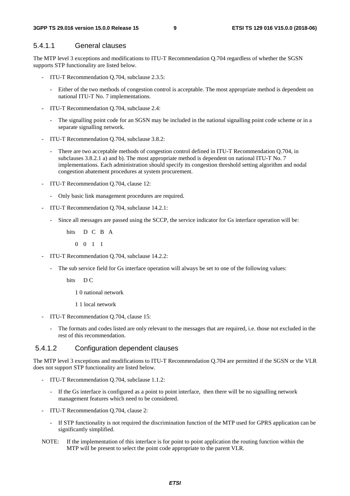#### 5.4.1.1 General clauses

The MTP level 3 exceptions and modifications to ITU-T Recommendation Q.704 regardless of whether the SGSN supports STP functionality are listed below.

- ITU-T Recommendation Q.704, subclause 2.3.5:
	- Either of the two methods of congestion control is acceptable. The most appropriate method is dependent on national ITU-T No. 7 implementations.
- ITU-T Recommendation Q.704, subclause 2.4:
	- The signalling point code for an SGSN may be included in the national signalling point code scheme or in a separate signalling network.
- ITU-T Recommendation Q.704, subclause 3.8.2:
	- There are two acceptable methods of congestion control defined in ITU-T Recommendation Q.704, in subclauses 3.8.2.1 a) and b). The most appropriate method is dependent on national ITU-T No. 7 implementations. Each administration should specify its congestion threshold setting algorithm and nodal congestion abatement procedures at system procurement.
- ITU-T Recommendation Q.704, clause 12:
	- Only basic link management procedures are required.
- ITU-T Recommendation Q.704, subclause 14.2.1:
	- Since all messages are passed using the SCCP, the service indicator for Gs interface operation will be:

bits D C B A

0 0 1 1

- ITU-T Recommendation Q.704, subclause 14.2.2:
	- The sub service field for Gs interface operation will always be set to one of the following values:
		- bits D C

1 0 national network

1 1 local network

- ITU-T Recommendation Q.704, clause 15:
	- The formats and codes listed are only relevant to the messages that are required, i.e. those not excluded in the rest of this recommendation.

#### 5.4.1.2 Configuration dependent clauses

The MTP level 3 exceptions and modifications to ITU-T Recommendation Q.704 are permitted if the SGSN or the VLR does not support STP functionality are listed below.

- ITU-T Recommendation Q.704, subclause 1.1.2:
	- If the Gs interface is configured as a point to point interface, then there will be no signalling network management features which need to be considered.
- ITU-T Recommendation Q.704, clause 2:
	- If STP functionality is not required the discrimination function of the MTP used for GPRS application can be significantly simplified.
- NOTE: If the implementation of this interface is for point to point application the routing function within the MTP will be present to select the point code appropriate to the parent VLR.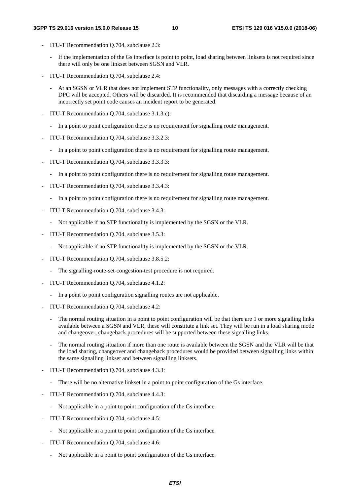- ITU-T Recommendation Q.704, subclause 2.3:
	- If the implementation of the Gs interface is point to point, load sharing between linksets is not required since there will only be one linkset between SGSN and VLR.
- ITU-T Recommendation Q.704, subclause 2.4:
	- At an SGSN or VLR that does not implement STP functionality, only messages with a correctly checking DPC will be accepted. Others will be discarded. It is recommended that discarding a message because of an incorrectly set point code causes an incident report to be generated.
- ITU-T Recommendation Q.704, subclause 3.1.3 c):
	- In a point to point configuration there is no requirement for signalling route management.
- ITU-T Recommendation Q.704, subclause 3.3.2.3:
	- In a point to point configuration there is no requirement for signalling route management.
- ITU-T Recommendation Q.704, subclause 3.3.3.3:
	- In a point to point configuration there is no requirement for signalling route management.
- ITU-T Recommendation Q.704, subclause 3.3.4.3:
	- In a point to point configuration there is no requirement for signalling route management.
- ITU-T Recommendation Q.704, subclause 3.4.3:
	- Not applicable if no STP functionality is implemented by the SGSN or the VLR.
- ITU-T Recommendation Q.704, subclause 3.5.3:
	- Not applicable if no STP functionality is implemented by the SGSN or the VLR.
- ITU-T Recommendation Q.704, subclause 3.8.5.2:
	- The signalling-route-set-congestion-test procedure is not required.
- ITU-T Recommendation Q.704, subclause 4.1.2:
	- In a point to point configuration signalling routes are not applicable.
- ITU-T Recommendation Q.704, subclause 4.2:
	- The normal routing situation in a point to point configuration will be that there are 1 or more signalling links available between a SGSN and VLR, these will constitute a link set. They will be run in a load sharing mode and changeover, changeback procedures will be supported between these signalling links.
	- The normal routing situation if more than one route is available between the SGSN and the VLR will be that the load sharing, changeover and changeback procedures would be provided between signalling links within the same signalling linkset and between signalling linksets.
- ITU-T Recommendation Q.704, subclause 4.3.3:
	- There will be no alternative linkset in a point to point configuration of the Gs interface.
- ITU-T Recommendation Q.704, subclause 4.4.3:
	- Not applicable in a point to point configuration of the Gs interface.
- ITU-T Recommendation Q.704, subclause 4.5:
	- Not applicable in a point to point configuration of the Gs interface.
- ITU-T Recommendation Q.704, subclause 4.6:
	- Not applicable in a point to point configuration of the Gs interface.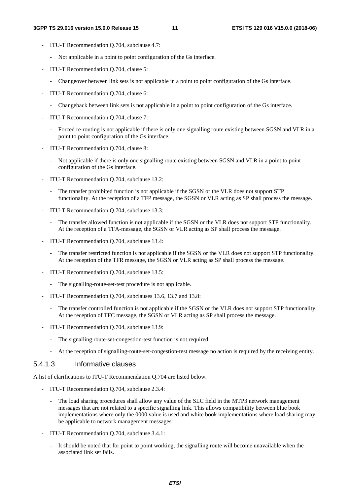- ITU-T Recommendation Q.704, subclause 4.7:
	- Not applicable in a point to point configuration of the Gs interface.
- ITU-T Recommendation Q.704, clause 5:
	- Changeover between link sets is not applicable in a point to point configuration of the Gs interface.
- ITU-T Recommendation Q.704, clause 6:
	- Changeback between link sets is not applicable in a point to point configuration of the Gs interface.
- ITU-T Recommendation Q.704, clause 7:
	- Forced re-routing is not applicable if there is only one signalling route existing between SGSN and VLR in a point to point configuration of the Gs interface.
- ITU-T Recommendation Q.704, clause 8:
	- Not applicable if there is only one signalling route existing between SGSN and VLR in a point to point configuration of the Gs interface.
- ITU-T Recommendation Q.704, subclause 13.2:
	- The transfer prohibited function is not applicable if the SGSN or the VLR does not support STP functionality. At the reception of a TFP message, the SGSN or VLR acting as SP shall process the message.
- ITU-T Recommendation Q.704, subclause 13.3:
	- The transfer allowed function is not applicable if the SGSN or the VLR does not support STP functionality. At the reception of a TFA-message, the SGSN or VLR acting as SP shall process the message.
- ITU-T Recommendation Q.704, subclause 13.4:
	- The transfer restricted function is not applicable if the SGSN or the VLR does not support STP functionality. At the reception of the TFR message, the SGSN or VLR acting as SP shall process the message.
- ITU-T Recommendation Q.704, subclause 13.5:
	- The signalling-route-set-test procedure is not applicable.
- ITU-T Recommendation Q.704, subclauses 13.6, 13.7 and 13.8:
	- The transfer controlled function is not applicable if the SGSN or the VLR does not support STP functionality. At the reception of TFC message, the SGSN or VLR acting as SP shall process the message.
- ITU-T Recommendation Q.704, subclause 13.9:
	- The signalling route-set-congestion-test function is not required.
	- At the reception of signalling-route-set-congestion-test message no action is required by the receiving entity.

#### 5.4.1.3 Informative clauses

A list of clarifications to ITU-T Recommendation Q.704 are listed below.

- ITU-T Recommendation Q.704, subclause 2.3.4:
	- The load sharing procedures shall allow any value of the SLC field in the MTP3 network management messages that are not related to a specific signalling link. This allows compatibility between blue book implementations where only the 0000 value is used and white book implementations where load sharing may be applicable to network management messages
- ITU-T Recommendation Q.704, subclause 3.4.1:
	- It should be noted that for point to point working, the signalling route will become unavailable when the associated link set fails.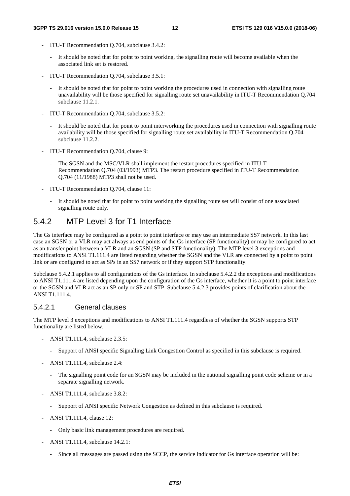- ITU-T Recommendation Q.704, subclause 3.4.2:
	- It should be noted that for point to point working, the signalling route will become available when the associated link set is restored.
- ITU-T Recommendation Q.704, subclause 3.5.1:
	- It should be noted that for point to point working the procedures used in connection with signalling route unavailability will be those specified for signalling route set unavailability in ITU-T Recommendation Q.704 subclause 11.2.1.
- ITU-T Recommendation Q.704, subclause 3.5.2:
	- It should be noted that for point to point interworking the procedures used in connection with signalling route availability will be those specified for signalling route set availability in ITU-T Recommendation Q.704 subclause 11.2.2.
- ITU-T Recommendation Q.704, clause 9:
	- The SGSN and the MSC/VLR shall implement the restart procedures specified in ITU-T Recommendation Q.704 (03/1993) MTP3. The restart procedure specified in ITU-T Recommendation Q.704 (11/1988) MTP3 shall not be used.
- ITU-T Recommendation Q.704, clause 11:
	- It should be noted that for point to point working the signalling route set will consist of one associated signalling route only.

### 5.4.2 MTP Level 3 for T1 Interface

The Gs interface may be configured as a point to point interface or may use an intermediate SS7 network. In this last case an SGSN or a VLR may act always as end points of the Gs interface (SP functionality) or may be configured to act as an transfer point between a VLR and an SGSN (SP and STP functionality). The MTP level 3 exceptions and modifications to ANSI T1.111.4 are listed regarding whether the SGSN and the VLR are connected by a point to point link or are configured to act as SPs in an SS7 network or if they support STP functionality.

Subclause 5.4.2.1 applies to all configurations of the Gs interface. In subclause 5.4.2.2 the exceptions and modifications to ANSI T1.111.4 are listed depending upon the configuration of the Gs interface, whether it is a point to point interface or the SGSN and VLR act as an SP only or SP and STP. Subclause 5.4.2.3 provides points of clarification about the ANSI T1.111.4.

#### 5.4.2.1 General clauses

The MTP level 3 exceptions and modifications to ANSI T1.111.4 regardless of whether the SGSN supports STP functionality are listed below.

- ANSI T1.111.4, subclause 2.3.5:
	- Support of ANSI specific Signalling Link Congestion Control as specified in this subclause is required.
- ANSI T1.111.4, subclause 2.4:
	- The signalling point code for an SGSN may be included in the national signalling point code scheme or in a separate signalling network.
- ANSI T1.111.4, subclause 3.8.2:
	- Support of ANSI specific Network Congestion as defined in this subclause is required.
- ANSI T1.111.4, clause 12:
	- Only basic link management procedures are required.
- ANSI T1.111.4, subclause 14.2.1:
	- Since all messages are passed using the SCCP, the service indicator for Gs interface operation will be: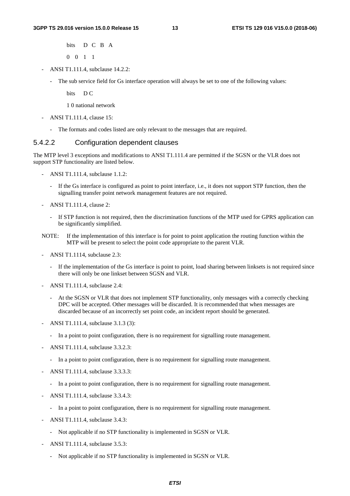bits D C B A 0 0 1 1

- ANSI T1.111.4, subclause 14.2.2:
	- The sub service field for Gs interface operation will always be set to one of the following values:

bits D C

1 0 national network

- ANSI T1.111.4, clause 15:
	- The formats and codes listed are only relevant to the messages that are required.

#### 5.4.2.2 Configuration dependent clauses

The MTP level 3 exceptions and modifications to ANSI T1.111.4 are permitted if the SGSN or the VLR does not support STP functionality are listed below.

- ANSI T1.111.4, subclause 1.1.2:
	- If the Gs interface is configured as point to point interface, i.e., it does not support STP function, then the signalling transfer point network management features are not required.
- ANSI T1.111.4, clause 2:
	- If STP function is not required, then the discrimination functions of the MTP used for GPRS application can be significantly simplified.
- NOTE: If the implementation of this interface is for point to point application the routing function within the MTP will be present to select the point code appropriate to the parent VLR.
- ANSI T1.1114, subclause 2.3:
	- If the implementation of the Gs interface is point to point, load sharing between linksets is not required since there will only be one linkset between SGSN and VLR.
- ANSI T1.111.4, subclause 2.4:
	- At the SGSN or VLR that does not implement STP functionality, only messages with a correctly checking DPC will be accepted. Other messages will be discarded. It is recommended that when messages are discarded because of an incorrectly set point code, an incident report should be generated.
- ANSI T1.111.4, subclause 3.1.3 (3):
	- In a point to point configuration, there is no requirement for signalling route management.
- ANSI T1.111.4, subclause 3.3.2.3:
	- In a point to point configuration, there is no requirement for signalling route management.
- ANSI T1.111.4, subclause 3.3.3.3:
	- In a point to point configuration, there is no requirement for signalling route management.
- ANSI T1.111.4, subclause 3.3.4.3:
	- In a point to point configuration, there is no requirement for signalling route management.
- ANSI T1.111.4, subclause 3.4.3:
	- Not applicable if no STP functionality is implemented in SGSN or VLR.
- ANSI T1.111.4, subclause 3.5.3:
	- Not applicable if no STP functionality is implemented in SGSN or VLR.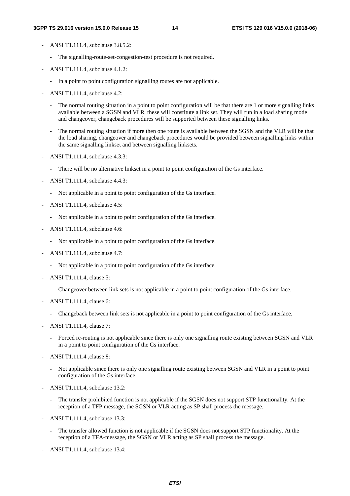- ANSI T1.111.4, subclause 3.8.5.2:
	- The signalling-route-set-congestion-test procedure is not required.
- ANSI T1.111.4, subclause 4.1.2:
	- In a point to point configuration signalling routes are not applicable.
- ANSI T1.111.4, subclause 4.2:
	- The normal routing situation in a point to point configuration will be that there are 1 or more signalling links available between a SGSN and VLR, these will constitute a link set. They will run in a load sharing mode and changeover, changeback procedures will be supported between these signalling links.
	- The normal routing situation if more then one route is available between the SGSN and the VLR will be that the load sharing, changeover and changeback procedures would be provided between signalling links within the same signalling linkset and between signalling linksets.
- ANSI T1.111.4, subclause 4.3.3:
	- There will be no alternative linkset in a point to point configuration of the Gs interface.
- ANSI T1.111.4, subclause 4.4.3:
	- Not applicable in a point to point configuration of the Gs interface.
- ANSI T1.111.4, subclause 4.5:
	- Not applicable in a point to point configuration of the Gs interface.
- ANSI T1.111.4, subclause 4.6:
	- Not applicable in a point to point configuration of the Gs interface.
- ANSI T1.111.4, subclause 4.7:
	- Not applicable in a point to point configuration of the Gs interface.
- ANSI T1.111.4, clause 5:
	- Changeover between link sets is not applicable in a point to point configuration of the Gs interface.
- ANSI T1.111.4, clause 6:
	- Changeback between link sets is not applicable in a point to point configuration of the Gs interface.
- ANSI T1.111.4, clause 7:
	- Forced re-routing is not applicable since there is only one signalling route existing between SGSN and VLR in a point to point configuration of the Gs interface.
- ANSI T1.111.4 ,clause 8:
	- Not applicable since there is only one signalling route existing between SGSN and VLR in a point to point configuration of the Gs interface.
- ANSI T1.111.4, subclause 13.2:
	- The transfer prohibited function is not applicable if the SGSN does not support STP functionality. At the reception of a TFP message, the SGSN or VLR acting as SP shall process the message.
- ANSI T1.111.4, subclause 13.3:
	- The transfer allowed function is not applicable if the SGSN does not support STP functionality. At the reception of a TFA-message, the SGSN or VLR acting as SP shall process the message.
- ANSI T1.111.4, subclause 13.4: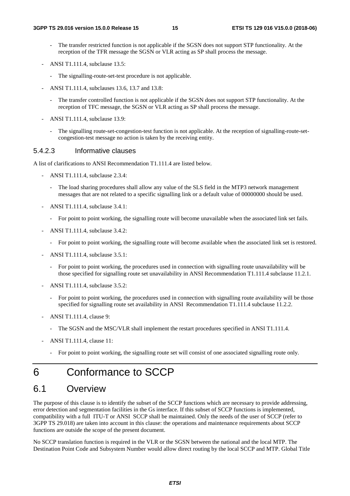- The transfer restricted function is not applicable if the SGSN does not support STP functionality. At the reception of the TFR message the SGSN or VLR acting as SP shall process the message.
- ANSI T1.111.4, subclause 13.5:
	- The signalling-route-set-test procedure is not applicable.
- ANSI T1.111.4, subclauses 13.6, 13.7 and 13.8:
	- The transfer controlled function is not applicable if the SGSN does not support STP functionality. At the reception of TFC message, the SGSN or VLR acting as SP shall process the message.
- ANSI T1.111.4, subclause 13.9:
	- The signalling route-set-congestion-test function is not applicable. At the reception of signalling-route-setcongestion-test message no action is taken by the receiving entity.

#### 5.4.2.3 Informative clauses

A list of clarifications to ANSI Recommendation T1.111.4 are listed below.

- ANSI T1.111.4, subclause 2.3.4:
	- The load sharing procedures shall allow any value of the SLS field in the MTP3 network management messages that are not related to a specific signalling link or a default value of 00000000 should be used.
- ANSI T1.111.4, subclause 3.4.1:
	- For point to point working, the signalling route will become unavailable when the associated link set fails.
- ANSI T1.111.4, subclause 3.4.2:
	- For point to point working, the signalling route will become available when the associated link set is restored.
- ANSI T1.111.4, subclause 3.5.1:
	- For point to point working, the procedures used in connection with signalling route unavailability will be those specified for signalling route set unavailability in ANSI Recommendation T1.111.4 subclause 11.2.1.
- ANSI T1.111.4, subclause 3.5.2:
	- For point to point working, the procedures used in connection with signalling route availability will be those specified for signalling route set availability in ANSI Recommendation T1.111.4 subclause 11.2.2.
- ANSI T1.111.4, clause 9:
	- The SGSN and the MSC/VLR shall implement the restart procedures specified in ANSI T1.111.4.
- ANSI T1.111.4, clause 11:
	- For point to point working, the signalling route set will consist of one associated signalling route only.

# 6 Conformance to SCCP

# 6.1 Overview

The purpose of this clause is to identify the subset of the SCCP functions which are necessary to provide addressing, error detection and segmentation facilities in the Gs interface. If this subset of SCCP functions is implemented, compatibility with a full ITU-T or ANSI SCCP shall be maintained. Only the needs of the user of SCCP (refer to 3GPP TS 29.018) are taken into account in this clause: the operations and maintenance requirements about SCCP functions are outside the scope of the present document.

No SCCP translation function is required in the VLR or the SGSN between the national and the local MTP. The Destination Point Code and Subsystem Number would allow direct routing by the local SCCP and MTP. Global Title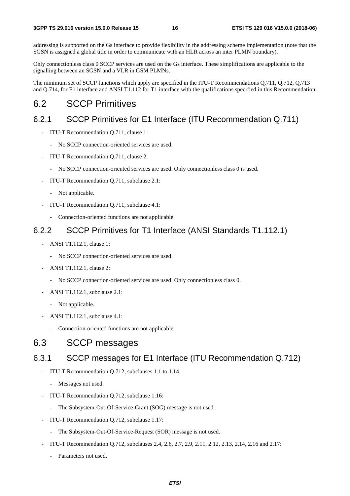addressing is supported on the Gs interface to provide flexibility in the addressing scheme implementation (note that the SGSN is assigned a global title in order to communicate with an HLR across an inter PLMN boundary).

Only connectionless class 0 SCCP services are used on the Gs interface. These simplifications are applicable to the signalling between an SGSN and a VLR in GSM PLMNs.

The minimum set of SCCP functions which apply are specified in the ITU-T Recommendations Q.711, Q.712, Q.713 and Q.714, for E1 interface and ANSI T1.112 for T1 interface with the qualifications specified in this Recommendation.

# 6.2 SCCP Primitives

### 6.2.1 SCCP Primitives for E1 Interface (ITU Recommendation Q.711)

- ITU-T Recommendation Q.711, clause 1:
	- No SCCP connection-oriented services are used.
- ITU-T Recommendation Q.711, clause 2:
	- No SCCP connection-oriented services are used. Only connectionless class 0 is used.
- ITU-T Recommendation Q.711, subclause 2.1:
	- Not applicable.
- ITU-T Recommendation Q.711, subclause 4.1:
	- Connection-oriented functions are not applicable

### 6.2.2 SCCP Primitives for T1 Interface (ANSI Standards T1.112.1)

- ANSI T1.112.1, clause 1:
	- No SCCP connection-oriented services are used.
- ANSI T1.112.1, clause 2:
	- No SCCP connection-oriented services are used. Only connectionless class 0.
- ANSI T1.112.1, subclause 2.1:
	- Not applicable.
- ANSI T1.112.1, subclause 4.1:
	- Connection-oriented functions are not applicable.

# 6.3 SCCP messages

### 6.3.1 SCCP messages for E1 Interface (ITU Recommendation Q.712)

- ITU-T Recommendation Q.712, subclauses 1.1 to 1.14:
	- Messages not used.
- ITU-T Recommendation Q.712, subclause 1.16:
	- The Subsystem-Out-Of-Service-Grant (SOG) message is not used.
- ITU-T Recommendation Q.712, subclause 1.17:
	- The Subsystem-Out-Of-Service-Request (SOR) message is not used.
- ITU-T Recommendation Q.712, subclauses 2.4, 2.6, 2.7, 2.9, 2.11, 2.12, 2.13, 2.14, 2.16 and 2.17:
	- Parameters not used.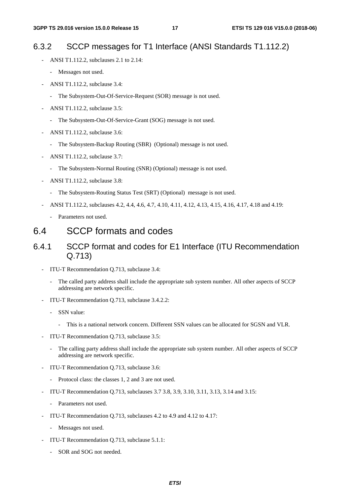### 6.3.2 SCCP messages for T1 Interface (ANSI Standards T1.112.2)

- ANSI T1.112.2, subclauses 2.1 to 2.14:
	- Messages not used.
- ANSI T1.112.2, subclause 3.4:
	- The Subsystem-Out-Of-Service-Request (SOR) message is not used.
- ANSI T1.112.2, subclause 3.5:
	- The Subsystem-Out-Of-Service-Grant (SOG) message is not used.
- ANSI T1.112.2, subclause 3.6:
	- The Subsystem-Backup Routing (SBR) (Optional) message is not used.
- ANSI T1.112.2, subclause 3.7:
	- The Subsystem-Normal Routing (SNR) (Optional) message is not used.
- ANSI T1.112.2, subclause 3.8:
	- The Subsystem-Routing Status Test (SRT) (Optional) message is not used.
	- ANSI T1.112.2, subclauses 4.2, 4.4, 4.6, 4.7, 4.10, 4.11, 4.12, 4.13, 4.15, 4.16, 4.17, 4.18 and 4.19:
		- Parameters not used.

# 6.4 SCCP formats and codes

### 6.4.1 SCCP format and codes for E1 Interface (ITU Recommendation Q.713)

- ITU-T Recommendation Q.713, subclause 3.4:
	- The called party address shall include the appropriate sub system number. All other aspects of SCCP addressing are network specific.
- ITU-T Recommendation Q.713, subclause 3.4.2.2:
	- SSN value:
		- This is a national network concern. Different SSN values can be allocated for SGSN and VLR.
- ITU-T Recommendation Q.713, subclause 3.5:
	- The calling party address shall include the appropriate sub system number. All other aspects of SCCP addressing are network specific.
- ITU-T Recommendation Q.713, subclause 3.6:
	- Protocol class: the classes 1, 2 and 3 are not used.
- ITU-T Recommendation Q.713, subclauses 3.7 3.8, 3.9, 3.10, 3.11, 3.13, 3.14 and 3.15:
	- Parameters not used.
- ITU-T Recommendation Q.713, subclauses 4.2 to 4.9 and 4.12 to 4.17:
	- Messages not used.
- ITU-T Recommendation Q.713, subclause 5.1.1:
	- SOR and SOG not needed.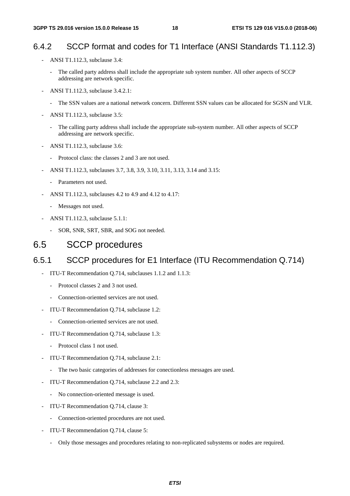# 6.4.2 SCCP format and codes for T1 Interface (ANSI Standards T1.112.3)

- ANSI T1.112.3, subclause 3.4:
	- The called party address shall include the appropriate sub system number. All other aspects of SCCP addressing are network specific.
- ANSI T1.112.3, subclause 3.4.2.1:
	- The SSN values are a national network concern. Different SSN values can be allocated for SGSN and VLR.
- ANSI T1.112.3, subclause 3.5:
	- The calling party address shall include the appropriate sub-system number. All other aspects of SCCP addressing are network specific.
- ANSI T1.112.3, subclause 3.6:
	- Protocol class: the classes 2 and 3 are not used.
- ANSI T1.112.3, subclauses 3.7, 3.8, 3.9, 3.10, 3.11, 3.13, 3.14 and 3.15:
	- Parameters not used.
- ANSI T1.112.3, subclauses 4.2 to 4.9 and 4.12 to 4.17:
	- Messages not used.
- ANSI T1.112.3, subclause 5.1.1:
	- SOR, SNR, SRT, SBR, and SOG not needed.

# 6.5 SCCP procedures

### 6.5.1 SCCP procedures for E1 Interface (ITU Recommendation Q.714)

- ITU-T Recommendation Q.714, subclauses 1.1.2 and 1.1.3:
	- Protocol classes 2 and 3 not used.
	- Connection-oriented services are not used.
- ITU-T Recommendation Q.714, subclause 1.2:
	- Connection-oriented services are not used.
- ITU-T Recommendation Q.714, subclause 1.3:
	- Protocol class 1 not used.
- ITU-T Recommendation Q.714, subclause 2.1:
	- The two basic categories of addresses for conectionless messages are used.
- ITU-T Recommendation Q.714, subclause 2.2 and 2.3:
	- No connection-oriented message is used.
- ITU-T Recommendation Q.714, clause 3:
	- Connection-oriented procedures are not used.
- ITU-T Recommendation Q.714, clause 5:
	- Only those messages and procedures relating to non-replicated subystems or nodes are required.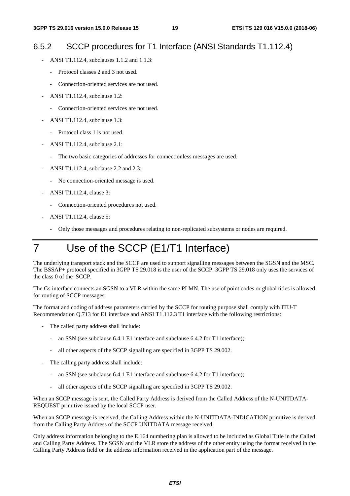# 6.5.2 SCCP procedures for T1 Interface (ANSI Standards T1.112.4)

- ANSI T1.112.4, subclauses 1.1.2 and 1.1.3:
	- Protocol classes 2 and 3 not used.
	- Connection-oriented services are not used.
- ANSI T1.112.4, subclause 1.2:
	- Connection-oriented services are not used.
- ANSI T1.112.4, subclause 1.3:
	- Protocol class 1 is not used.
- ANSI T1.112.4, subclause 2.1:
	- The two basic categories of addresses for connectionless messages are used.
- ANSI T1.112.4, subclause 2.2 and 2.3:
	- No connection-oriented message is used.
- ANSI T1.112.4, clause 3:
	- Connection-oriented procedures not used.
- ANSI T1.112.4, clause 5:
	- Only those messages and procedures relating to non-replicated subsystems or nodes are required.

# 7 Use of the SCCP (E1/T1 Interface)

The underlying transport stack and the SCCP are used to support signalling messages between the SGSN and the MSC. The BSSAP+ protocol specified in 3GPP TS 29.018 is the user of the SCCP. 3GPP TS 29.018 only uses the services of the class 0 of the SCCP.

The Gs interface connects an SGSN to a VLR within the same PLMN. The use of point codes or global titles is allowed for routing of SCCP messages.

The format and coding of address parameters carried by the SCCP for routing purpose shall comply with ITU-T Recommendation Q.713 for E1 interface and ANSI T1.112.3 T1 interface with the following restrictions:

- The called party address shall include:
	- an SSN (see subclause 6.4.1 E1 interface and subclause 6.4.2 for T1 interface);
	- all other aspects of the SCCP signalling are specified in 3GPP TS 29.002.
- The calling party address shall include:
	- an SSN (see subclause 6.4.1 E1 interface and subclause 6.4.2 for T1 interface);
	- all other aspects of the SCCP signalling are specified in 3GPP TS 29.002.

When an SCCP message is sent, the Called Party Address is derived from the Called Address of the N-UNITDATA-REQUEST primitive issued by the local SCCP user.

When an SCCP message is received, the Calling Address within the N-UNITDATA-INDICATION primitive is derived from the Calling Party Address of the SCCP UNITDATA message received.

Only address information belonging to the E.164 numbering plan is allowed to be included as Global Title in the Called and Calling Party Address. The SGSN and the VLR store the address of the other entity using the format received in the Calling Party Address field or the address information received in the application part of the message.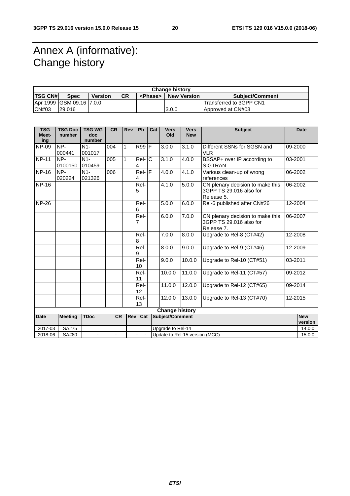# Annex A (informative): Change history

| <b>Change history</b> |                          |         |           |                 |                    |                         |  |
|-----------------------|--------------------------|---------|-----------|-----------------|--------------------|-------------------------|--|
| <b>TSG CN#</b>        | <b>Spec</b>              | Version | <b>CR</b> | <phase></phase> | <b>New Version</b> | <b>Subject/Comment</b>  |  |
|                       | Apr 1999 GSM 09.16 7.0.0 |         |           |                 |                    | Transferred to 3GPP CN1 |  |
| ICN#03                | 29.016                   |         |           |                 | 3.0.0              | Approved at CN#03       |  |

| <b>TSG</b><br>Meet- | <b>TSG Doc</b><br>number                           | <b>TSG WG</b><br>doc | <b>CR</b> | Rev        | Ph               | Cat | <b>Vers</b><br>Old | <b>Vers</b><br><b>New</b> | <b>Subject</b>                                                            |         | <b>Date</b>           |
|---------------------|----------------------------------------------------|----------------------|-----------|------------|------------------|-----|--------------------|---------------------------|---------------------------------------------------------------------------|---------|-----------------------|
| ing                 |                                                    | number               |           |            |                  |     |                    |                           |                                                                           |         |                       |
| <b>NP-09</b>        | NP-<br>000441                                      | $N1-$<br>001017      | 004       | 1          | $R99$ F          |     | 3.0.0              | 3.1.0                     | Different SSNs for SGSN and<br><b>VLR</b>                                 | 09-2000 |                       |
| <b>NP-11</b>        | NP-<br>0100150                                     | $N1-$<br>010459      | 005       | 1          | $ReI$ - $C$<br>4 |     | 3.1.0              | 4.0.0                     | BSSAP+ over IP according to<br><b>SIGTRAN</b>                             | 03-2001 |                       |
| <b>NP-16</b>        | NP-<br>020224                                      | $N1-$<br>021326      | 006       |            | $ReI - F$<br>4   |     | 4.0.0              | 4.1.0                     | Various clean-up of wrong<br>references                                   | 06-2002 |                       |
| <b>NP-16</b>        |                                                    |                      |           |            | Rel-<br>5        |     | 4.1.0              | 5.0.0                     | CN plenary decision to make this<br>3GPP TS 29.016 also for<br>Release 5. | 06-2002 |                       |
| <b>NP-26</b>        |                                                    |                      |           |            | Rel-<br>6        |     | 5.0.0              | 6.0.0                     | Rel-6 published after CN#26                                               | 12-2004 |                       |
|                     |                                                    |                      |           |            | Rel-<br>7        |     | 6.0.0              | 7.0.0                     | CN plenary decision to make this<br>3GPP TS 29.016 also for<br>Release 7. | 06-2007 |                       |
|                     |                                                    |                      |           |            | Rel-<br>8        |     | 7.0.0              | 8.0.0                     | Upgrade to Rel-8 (CT#42)                                                  | 12-2008 |                       |
|                     |                                                    |                      |           |            | Rel-<br>9        |     | 8.0.0              | 9.0.0                     | Upgrade to Rel-9 (CT#46)                                                  | 12-2009 |                       |
|                     |                                                    |                      |           |            | Rel-<br>10       |     | 9.0.0              | 10.0.0                    | Upgrade to Rel-10 (CT#51)                                                 | 03-2011 |                       |
|                     |                                                    |                      |           |            | Rel-<br>11       |     | 10.0.0             | 11.0.0                    | Upgrade to Rel-11 (CT#57)                                                 | 09-2012 |                       |
|                     |                                                    |                      |           |            | Rel-<br>12       |     | 11.0.0             | 12.0.0                    | Upgrade to Rel-12 (CT#65)                                                 | 09-2014 |                       |
|                     |                                                    |                      |           |            | Rel-<br>13       |     | 12.0.0             | 13.0.0                    | Upgrade to Rel-13 (CT#70)                                                 | 12-2015 |                       |
|                     | <b>Change history</b>                              |                      |           |            |                  |     |                    |                           |                                                                           |         |                       |
| <b>Date</b>         | <b>Meeting</b>                                     | <b>TDoc</b>          | <b>CR</b> | <b>Rev</b> | Cat              |     | Subject/Comment    |                           |                                                                           |         | <b>New</b><br>version |
| 2017-03             | SA#75                                              |                      |           |            |                  |     | Upgrade to Rel-14  |                           |                                                                           |         | 14.0.0                |
|                     | Update to Rel-15 version (MCC)<br>2018-06<br>SA#80 |                      |           |            |                  |     | 15.0.0             |                           |                                                                           |         |                       |